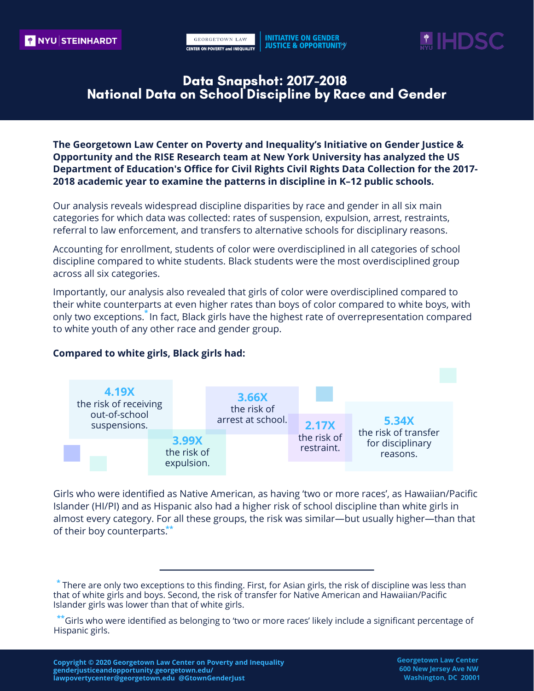

#### Data Snapshot: 2017-2018 National Data on School Discipline by Race and Gender

**The Georgetown Law Center on Poverty and Inequality's Initiative on Gender Justice & Opportunity and the RISE Research team at New York University has analyzed the US Department of Education's Office for Civil Rights Civil Rights Data Collection for the 2017- 2018 academic year to examine the patterns in discipline in K–12 public schools.**

 referral to law enforcement, and transfers to alternative schools for disciplinary reasons. Our analysis reveals widespread discipline disparities by race and gender in all six main categories for which data was collected: rates of suspension, expulsion, arrest, restraints,

Accounting for enrollment, students of color were overdisciplined in all categories of school discipline compared to white students. Black students were the most overdisciplined group across all six categories.

their white counterparts at even higher rates than boys of color compared to white boys, with<br>only two exceptions.<sup>\*</sup> In fact, Black girls have the highest rate of overrepresentation compared Importantly, our analysis also revealed that girls of color were overdisciplined compared to to white youth of any other race and gender group.



#### **Compared to white girls, Black girls had:**

 Girls who were identified as Native American, as having 'two or more races', as Hawaiian/Pacific Islander (HI/PI) and as Hispanic also had a higher risk of school discipline than white girls in almost every category. For all these groups, the risk was similar—but usually higher—than that of their boy counterparts.<sup>\*\*</sup>

**<sup>\*</sup>** There are only two exceptions to this finding. First, for Asian girls, the risk of discipline was less than that of white girls and boys. Second, the risk of transfer for Native American and Hawaiian/Pacific Islander girls was lower than that of white girls.

**<sup>\*\*</sup>**Girls who were identified as belonging to 'two or more races' likely include a significant percentage of Hispanic girls.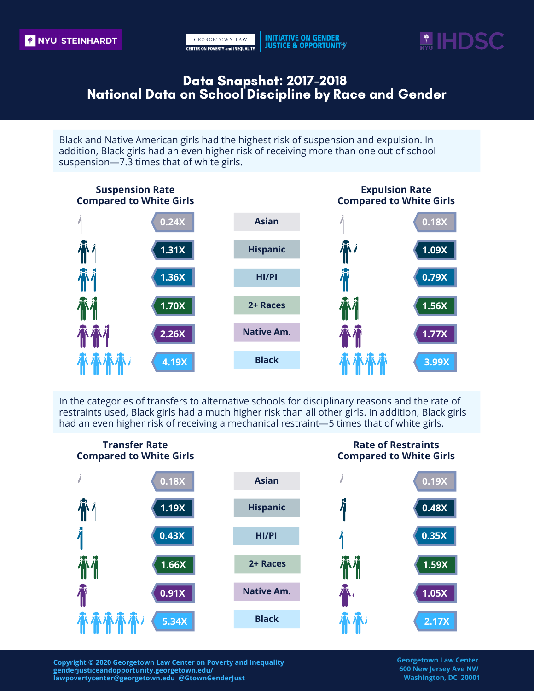**INITIATIVE ON GENDER JUSTICE & OPPORTUNITY** 



# Data Snapshot: 2017-2018 National Data on School Discipline by Race and Gender

Black and Native American girls had the highest risk of suspension and expulsion. In addition, Black girls had an even higher risk of receiving more than one out of school suspension—7.3 times that of white girls.



In the categories of transfers to alternative schools for disciplinary reasons and the rate of restraints used, Black girls had a much higher risk than all other girls. In addition, Black girls had an even higher risk of receiving a mechanical restraint—5 times that of white girls.



 **lawpovertycenter@georgetown.edu @GtownGenderJust Washington, DC 20001Copyright © 2020 Georgetown Law Center on Poverty and Inequality Georgetown Law Center genderjusticeandopportunity.georgetown.edu/ 600 New Jersey Ave NW**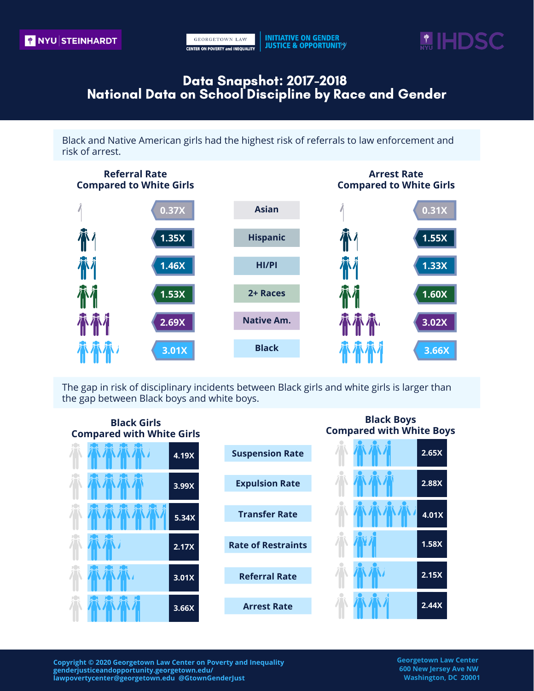

# Data Snapshot: 2017-2018 National Data on School Discipline by Race and Gender

Black and Native American girls had the highest risk of referrals to law enforcement and risk of arrest.



The gap in risk of disciplinary incidents between Black girls and white girls is larger than the gap between Black boys and white boys.



 **lawpovertycenter@georgetown.edu @GtownGenderJust Washington, DC 20001Copyright © 2020 Georgetown Law Center on Poverty and Inequality Georgetown Law Center genderjusticeandopportunity.georgetown.edu/ 600 New Jersey Ave NW**